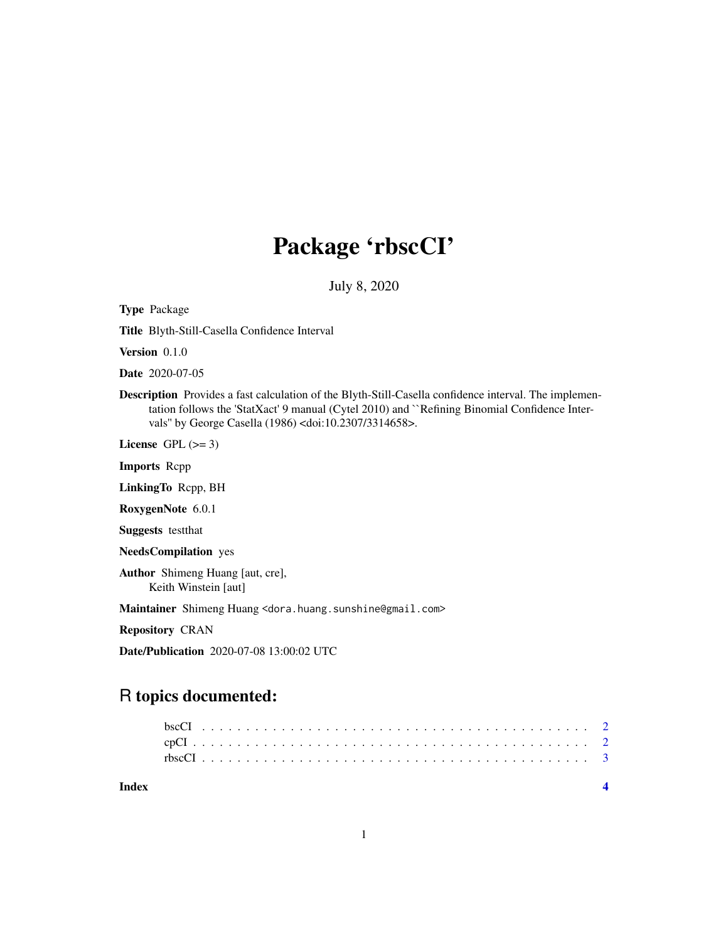## Package 'rbscCI'

July 8, 2020

Type Package

Title Blyth-Still-Casella Confidence Interval

Version 0.1.0

Date 2020-07-05

Description Provides a fast calculation of the Blyth-Still-Casella confidence interval. The implementation follows the 'StatXact' 9 manual (Cytel 2010) and ``Refining Binomial Confidence Intervals'' by George Casella (1986) <doi:10.2307/3314658>.

License GPL  $(>= 3)$ 

Imports Rcpp

LinkingTo Rcpp, BH

RoxygenNote 6.0.1

Suggests testthat

NeedsCompilation yes

Author Shimeng Huang [aut, cre], Keith Winstein [aut]

Maintainer Shimeng Huang <dora.huang.sunshine@gmail.com>

Repository CRAN

Date/Publication 2020-07-08 13:00:02 UTC

### R topics documented:

| Index |  |  |  |  |  |  |  |  |  |  |  |  |  |  |  |  |  |  |  |  |  |  |
|-------|--|--|--|--|--|--|--|--|--|--|--|--|--|--|--|--|--|--|--|--|--|--|
|       |  |  |  |  |  |  |  |  |  |  |  |  |  |  |  |  |  |  |  |  |  |  |
|       |  |  |  |  |  |  |  |  |  |  |  |  |  |  |  |  |  |  |  |  |  |  |
|       |  |  |  |  |  |  |  |  |  |  |  |  |  |  |  |  |  |  |  |  |  |  |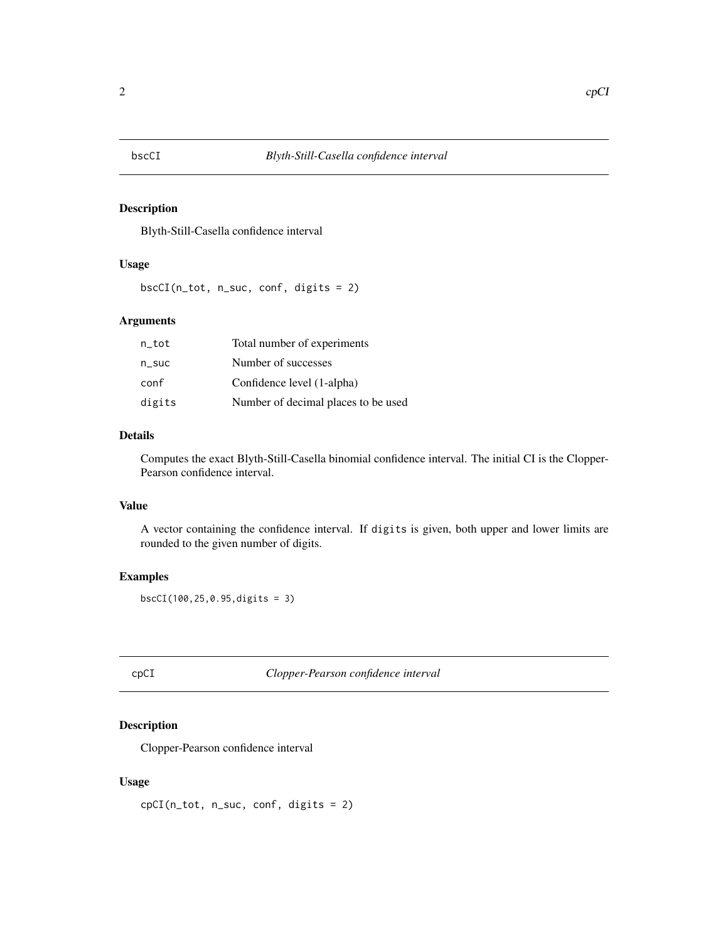<span id="page-1-0"></span>

#### Description

Blyth-Still-Casella confidence interval

#### Usage

bscCI(n\_tot, n\_suc, conf, digits = 2)

#### Arguments

| n tot    | Total number of experiments         |
|----------|-------------------------------------|
| $n$ _suc | Number of successes                 |
| conf     | Confidence level (1-alpha)          |
| digits   | Number of decimal places to be used |

#### Details

Computes the exact Blyth-Still-Casella binomial confidence interval. The initial CI is the Clopper-Pearson confidence interval.

#### Value

A vector containing the confidence interval. If digits is given, both upper and lower limits are rounded to the given number of digits.

#### Examples

bscCI(100,25,0.95,digits = 3)

cpCI *Clopper-Pearson confidence interval*

#### Description

Clopper-Pearson confidence interval

#### Usage

cpCI(n\_tot, n\_suc, conf, digits = 2)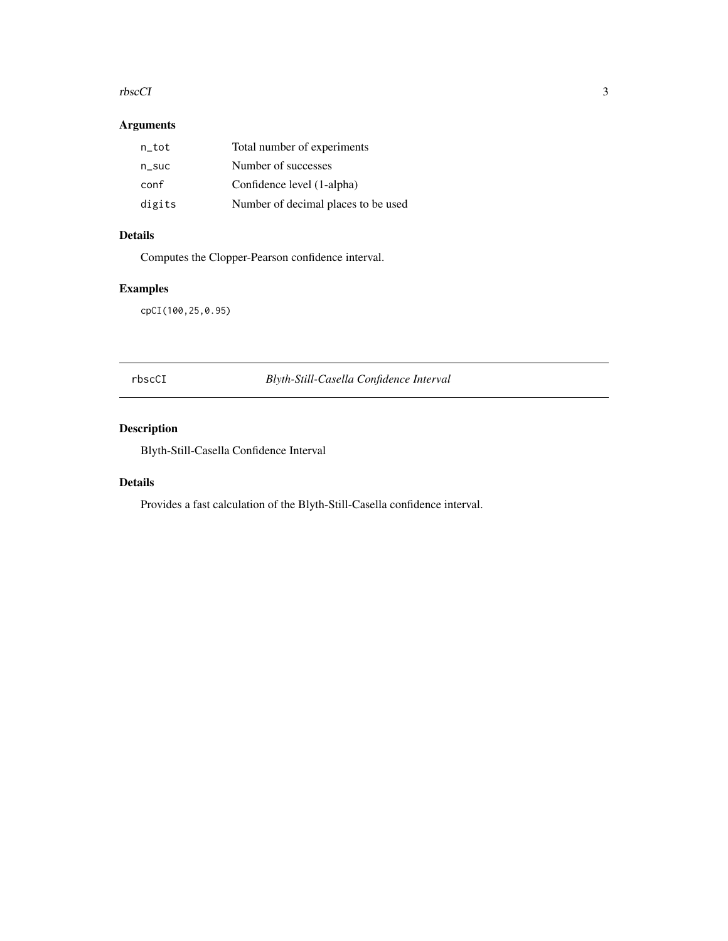#### <span id="page-2-0"></span>rbscCI 3

#### Arguments

| n_tot    | Total number of experiments         |
|----------|-------------------------------------|
| $n$ _suc | Number of successes                 |
| conf     | Confidence level (1-alpha)          |
| digits   | Number of decimal places to be used |

#### Details

Computes the Clopper-Pearson confidence interval.

#### Examples

cpCI(100,25,0.95)

rbscCI *Blyth-Still-Casella Confidence Interval*

#### Description

Blyth-Still-Casella Confidence Interval

#### Details

Provides a fast calculation of the Blyth-Still-Casella confidence interval.